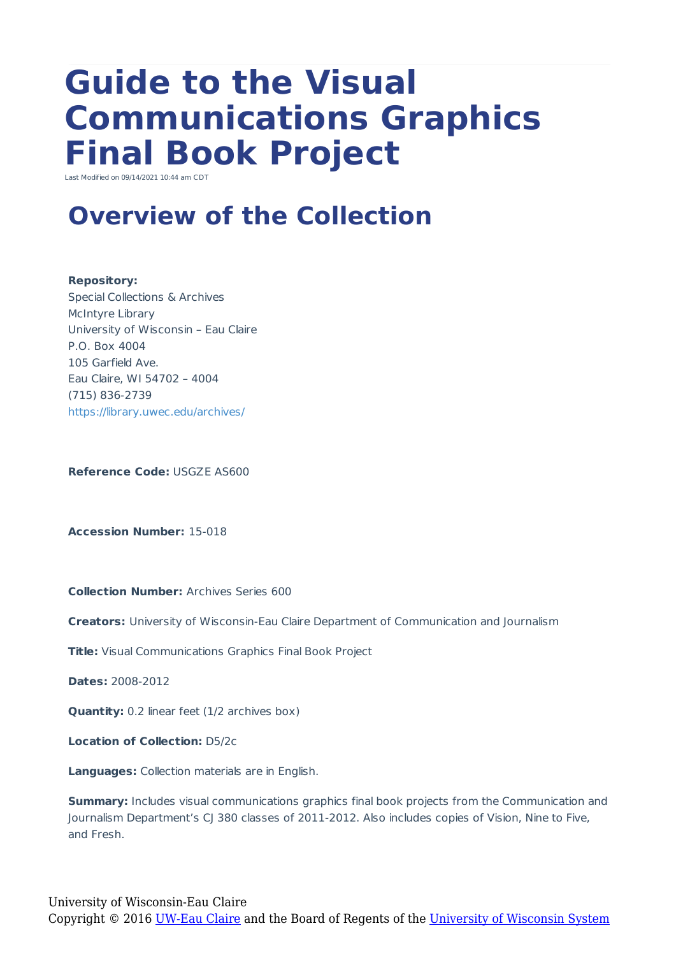# **Guide to the Visual Communications Graphics Final Book Project**

Last Modified on 09/14/2021 10:44 am CDT

### **Overview of the Collection**

#### **Repository:**

Special Collections & Archives McIntyre Library University of Wisconsin – Eau Claire P.O. Box 4004 105 Garfield Ave. Eau Claire, WI 54702 – 4004 (715) 836-2739 https://library.uwec.edu/archives/

**Reference Code:** USGZE AS600

**Accession Number:** 15-018

**Collection Number:** Archives Series 600

**Creators:** University of Wisconsin-Eau Claire Department of Communication and Journalism

**Title:** Visual Communications Graphics Final Book Project

**Dates:** 2008-2012

**Quantity:** 0.2 linear feet (1/2 archives box)

**Location of Collection:** D5/2c

**Languages:** Collection materials are in English.

**Summary:** Includes visual communications graphics final book projects from the Communication and Journalism Department's CJ 380 classes of 2011-2012. Also includes copies of Vision, Nine to Five, and Fresh.

University of Wisconsin-Eau Claire Copyright © 2016 [UW-Eau Claire](http://www.uwec.edu) and the Board of Regents of the [University of Wisconsin System](http://www.uwsa.edu/)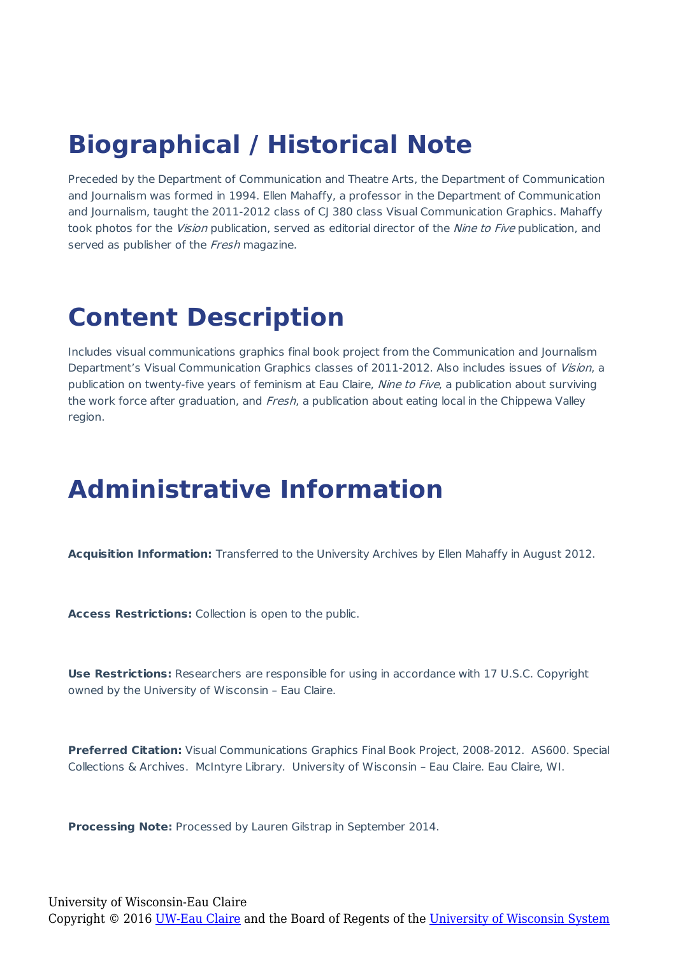### **Biographical / Historical Note**

Preceded by the Department of Communication and Theatre Arts, the Department of Communication and Journalism was formed in 1994. Ellen Mahaffy, a professor in the Department of Communication and Journalism, taught the 2011-2012 class of CJ 380 class Visual Communication Graphics. Mahaffy took photos for the Vision publication, served as editorial director of the Nine to Five publication, and served as publisher of the Fresh magazine.

#### **Content Description**

Includes visual communications graphics final book project from the Communication and Journalism Department's Visual Communication Graphics classes of 2011-2012. Also includes issues of Vision, a publication on twenty-five years of feminism at Eau Claire, Nine to Five, a publication about surviving the work force after graduation, and Fresh, a publication about eating local in the Chippewa Valley region.

#### **Administrative Information**

**Acquisition Information:** Transferred to the University Archives by Ellen Mahaffy in August 2012.

**Access Restrictions:** Collection is open to the public.

**Use Restrictions:** Researchers are responsible for using in accordance with 17 U.S.C. Copyright owned by the University of Wisconsin – Eau Claire.

**Preferred Citation:** Visual Communications Graphics Final Book Project, 2008-2012. AS600. Special Collections & Archives. McIntyre Library. University of Wisconsin – Eau Claire. Eau Claire, WI.

**Processing Note:** Processed by Lauren Gilstrap in September 2014.